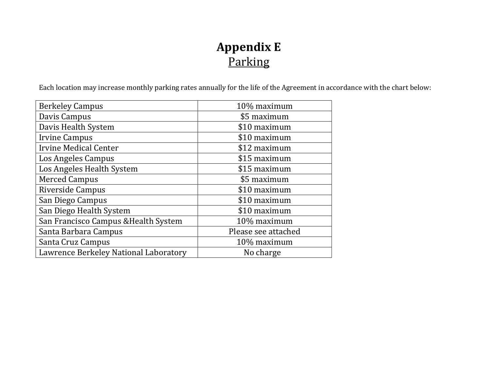## **Appendix E** Parking

Each location may increase monthly parking rates annually for the life of the Agreement in accordance with the chart below:

| <b>Berkeley Campus</b>                | 10% maximum         |  |
|---------------------------------------|---------------------|--|
| Davis Campus                          | \$5 maximum         |  |
| Davis Health System                   | \$10 maximum        |  |
| <b>Irvine Campus</b>                  | \$10 maximum        |  |
| <b>Irvine Medical Center</b>          | \$12 maximum        |  |
| Los Angeles Campus                    | \$15 maximum        |  |
| Los Angeles Health System             | \$15 maximum        |  |
| <b>Merced Campus</b>                  | \$5 maximum         |  |
| Riverside Campus                      | \$10 maximum        |  |
| San Diego Campus                      | \$10 maximum        |  |
| San Diego Health System               | \$10 maximum        |  |
| San Francisco Campus & Health System  | 10% maximum         |  |
| Santa Barbara Campus                  | Please see attached |  |
| Santa Cruz Campus                     | 10% maximum         |  |
| Lawrence Berkeley National Laboratory | No charge           |  |